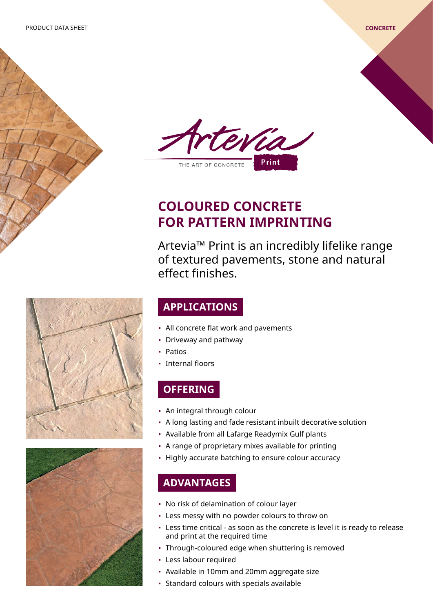



# **COLOURED CONCRETE FOR PATTERN IMPRINTING**

Artevia™ Print is an incredibly lifelike range of textured pavements, stone and natural effect finishes.

## **APPLICATIONS**

- All concrete flat work and pavements
- Driveway and pathway
- Patios
- Internal floors

# **OFFERING**

- An integral through colour
- A long lasting and fade resistant inbuilt decorative solution
- Available from all Lafarge Readymix Gulf plants
- A range of proprietary mixes available for printing
- **·** Highly accurate batching to ensure colour accuracy

# **ADVANTAGES**

- No risk of delamination of colour layer
- Less messy with no powder colours to throw on
- Less time critical as soon as the concrete is level it is ready to release and print at the required time
- Through-coloured edge when shuttering is removed
- Less labour required
- Available in 10mm and 20mm aggregate size
- Standard colours with specials available